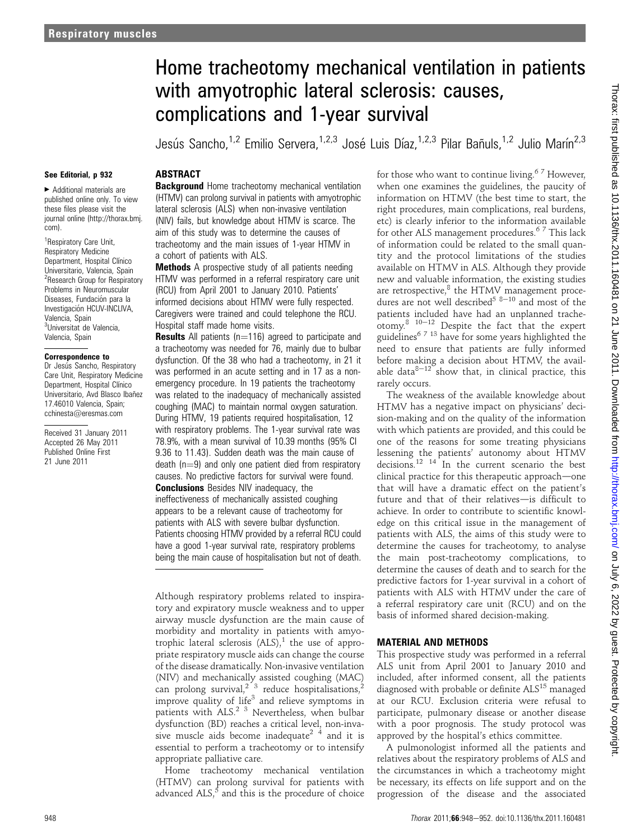# Home tracheotomy mechanical ventilation in patients with amyotrophic lateral sclerosis: causes, complications and 1-year survival

Jesús Sancho,<sup>1,2</sup> Emilio Servera,<sup>1,2,3</sup> José Luis Díaz,<sup>1,2,3</sup> Pilar Bañuls,<sup>1,2</sup> Julio Marín<sup>2,3</sup>

### See Editorial, p 932

< Additional materials are published online only. To view these files please visit the journal online (http://thorax.bmj. com).

<sup>1</sup> Respiratory Care Unit, Respiratory Medicine Department, Hospital Clínico Universitario, Valencia, Spain <sup>2</sup> Research Group for Respiratory Problems in Neuromuscular Diseases, Fundación para la Investigación HCUV-INCLIVA, Valencia, Spain <sup>3</sup>Universitat de Valencia, Valencia, Spain

#### Correspondence to

Dr Jesús Sancho, Respiratory Care Unit, Respiratory Medicine Department, Hospital Clínico Universitario, Avd Blasco Ibañez 17.46010 Valencia, Spain; cchinesta@eresmas.com

Received 31 January 2011 Accepted 26 May 2011 Published Online First 21 June 2011

# **ABSTRACT**

**Background** Home tracheotomy mechanical ventilation (HTMV) can prolong survival in patients with amyotrophic lateral sclerosis (ALS) when non-invasive ventilation (NIV) fails, but knowledge about HTMV is scarce. The aim of this study was to determine the causes of tracheotomy and the main issues of 1-year HTMV in a cohort of patients with ALS.

Methods A prospective study of all patients needing HTMV was performed in a referral respiratory care unit (RCU) from April 2001 to January 2010. Patients' informed decisions about HTMV were fully respected. Caregivers were trained and could telephone the RCU. Hospital staff made home visits.

**Results** All patients ( $n=116$ ) agreed to participate and a tracheotomy was needed for 76, mainly due to bulbar dysfunction. Of the 38 who had a tracheotomy, in 21 it was performed in an acute setting and in 17 as a nonemergency procedure. In 19 patients the tracheotomy was related to the inadequacy of mechanically assisted coughing (MAC) to maintain normal oxygen saturation. During HTMV, 19 patients required hospitalisation, 12 with respiratory problems. The 1-year survival rate was 78.9%, with a mean survival of 10.39 months (95% CI 9.36 to 11.43). Sudden death was the main cause of death  $(n=9)$  and only one patient died from respiratory causes. No predictive factors for survival were found. Conclusions Besides NIV inadequacy, the ineffectiveness of mechanically assisted coughing appears to be a relevant cause of tracheotomy for patients with ALS with severe bulbar dysfunction. Patients choosing HTMV provided by a referral RCU could have a good 1-year survival rate, respiratory problems being the main cause of hospitalisation but not of death.

Although respiratory problems related to inspiratory and expiratory muscle weakness and to upper airway muscle dysfunction are the main cause of morbidity and mortality in patients with amyotrophic lateral sclerosis  $(ALS)<sup>1</sup>$ , the use of appropriate respiratory muscle aids can change the course of the disease dramatically. Non-invasive ventilation (NIV) and mechanically assisted coughing (MAC) can prolong survival,<sup>2 3</sup> reduce hospitalisations,<sup>2</sup> improve quality of life<sup>3</sup> and relieve symptoms in patients with ALS.<sup>2 3</sup> Nevertheless, when bulbar dysfunction (BD) reaches a critical level, non-invasive muscle aids become inadequate<sup>2</sup>  $\frac{4}{7}$  and it is essential to perform a tracheotomy or to intensify appropriate palliative care.

Home tracheotomy mechanical ventilation (HTMV) can prolong survival for patients with advanced  $ALS$ ,<sup>5</sup> and this is the procedure of choice

for those who want to continue living.<sup>67</sup> However, when one examines the guidelines, the paucity of information on HTMV (the best time to start, the right procedures, main complications, real burdens, etc) is clearly inferior to the information available for other ALS management procedures.<sup>67</sup> This lack of information could be related to the small quantity and the protocol limitations of the studies available on HTMV in ALS. Although they provide new and valuable information, the existing studies are retrospective, $8$  the HTMV management procedures are not well described<sup>5 8-10</sup> and most of the patients included have had an unplanned tracheotomy.<sup>8 10-12</sup> Despite the fact that the expert guidelines<sup>6 7 13</sup> have for some years highlighted the need to ensure that patients are fully informed before making a decision about HTMV, the available data $8-12$  show that, in clinical practice, this rarely occurs.

The weakness of the available knowledge about HTMV has a negative impact on physicians' decision-making and on the quality of the information with which patients are provided, and this could be one of the reasons for some treating physicians lessening the patients' autonomy about HTMV decisions.<sup>12</sup> <sup>14</sup> In the current scenario the best clinical practice for this therapeutic approach—one that will have a dramatic effect on the patient's future and that of their relatives-is difficult to achieve. In order to contribute to scientific knowledge on this critical issue in the management of patients with ALS, the aims of this study were to determine the causes for tracheotomy, to analyse the main post-tracheotomy complications, to determine the causes of death and to search for the predictive factors for 1-year survival in a cohort of patients with ALS with HTMV under the care of a referral respiratory care unit (RCU) and on the basis of informed shared decision-making.

## MATERIAL AND METHODS

This prospective study was performed in a referral ALS unit from April 2001 to January 2010 and included, after informed consent, all the patients diagnosed with probable or definite ALS<sup>15</sup> managed at our RCU. Exclusion criteria were refusal to participate, pulmonary disease or another disease with a poor prognosis. The study protocol was approved by the hospital's ethics committee.

A pulmonologist informed all the patients and relatives about the respiratory problems of ALS and the circumstances in which a tracheotomy might be necessary, its effects on life support and on the progression of the disease and the associated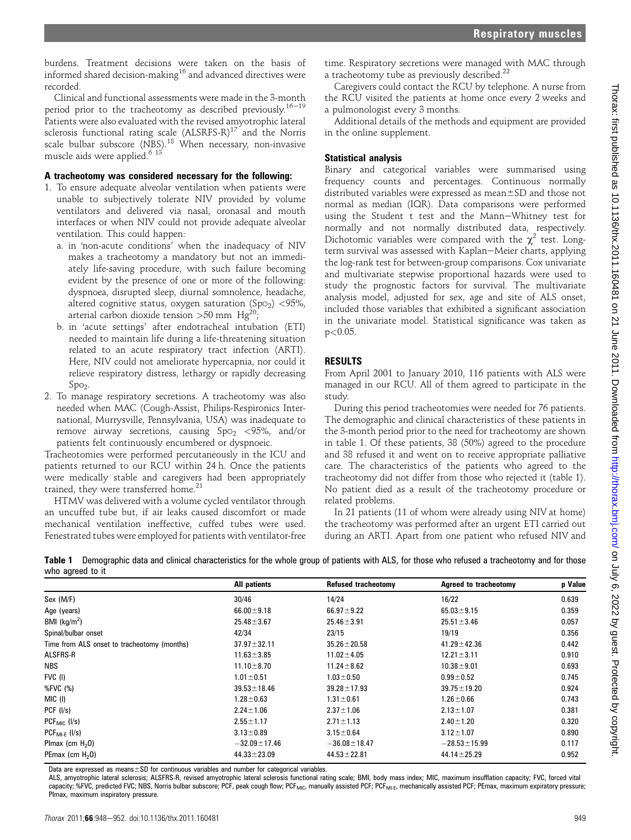burdens. Treatment decisions were taken on the basis of informed shared decision-making<sup>16</sup> and advanced directives were recorded.

Clinical and functional assessments were made in the 3-month period prior to the tracheotomy as described previously.<sup>16-19</sup> Patients were also evaluated with the revised amyotrophic lateral sclerosis functional rating scale  $(ALSRFS-R)^{17}$  and the Norris scale bulbar subscore (NBS).<sup>18</sup> When necessary, non-invasive muscle aids were applied.<sup>6 13</sup>

## A tracheotomy was considered necessary for the following:

- 1. To ensure adequate alveolar ventilation when patients were unable to subjectively tolerate NIV provided by volume ventilators and delivered via nasal, oronasal and mouth interfaces or when NIV could not provide adequate alveolar ventilation. This could happen:
	- a. in 'non-acute conditions' when the inadequacy of NIV makes a tracheotomy a mandatory but not an immediately life-saving procedure, with such failure becoming evident by the presence of one or more of the following: dyspnoea, disrupted sleep, diurnal somnolence, headache, altered cognitive status, oxygen saturation (SpO<sub>2</sub>) <95%, arterial carbon dioxide tension  $>50$  mm Hg<sup>20</sup>
	- b. in 'acute settings' after endotracheal intubation (ETI) needed to maintain life during a life-threatening situation related to an acute respiratory tract infection (ARTI). Here, NIV could not ameliorate hypercapnia, nor could it relieve respiratory distress, lethargy or rapidly decreasing  $Spo<sub>2</sub>$ .
- 2. To manage respiratory secretions. A tracheotomy was also needed when MAC (Cough-Assist, Philips-Respironics International, Murrysville, Pennsylvania, USA) was inadequate to remove airway secretions, causing  $Spo<sub>2</sub> < 95%$ , and/or patients felt continuously encumbered or dyspnoeic.

Tracheotomies were performed percutaneously in the ICU and patients returned to our RCU within 24 h. Once the patients were medically stable and caregivers had been appropriately trained, they were transferred home.<sup>21</sup>

HTMV was delivered with a volume cycled ventilator through an uncuffed tube but, if air leaks caused discomfort or made mechanical ventilation ineffective, cuffed tubes were used. Fenestrated tubes were employed for patients with ventilator-free

time. Respiratory secretions were managed with MAC through a tracheotomy tube as previously described.<sup>22</sup>

Caregivers could contact the RCU by telephone. A nurse from the RCU visited the patients at home once every 2 weeks and a pulmonologist every 3 months.

Additional details of the methods and equipment are provided in the online supplement.

# Statistical analysis

Binary and categorical variables were summarised using frequency counts and percentages. Continuous normally distributed variables were expressed as  $mean \pm SD$  and those not normal as median (IQR). Data comparisons were performed using the Student t test and the Mann-Whitney test for normally and not normally distributed data, respectively. Dichotomic variables were compared with the  $\chi^2$  test. Longterm survival was assessed with Kaplan-Meier charts, applying the log-rank test for between-group comparisons. Cox univariate and multivariate stepwise proportional hazards were used to study the prognostic factors for survival. The multivariate analysis model, adjusted for sex, age and site of ALS onset, included those variables that exhibited a significant association in the univariate model. Statistical significance was taken as  $p<0.05$ .

# RESULTS

From April 2001 to January 2010, 116 patients with ALS were managed in our RCU. All of them agreed to participate in the study.

During this period tracheotomies were needed for 76 patients. The demographic and clinical characteristics of these patients in the 3-month period prior to the need for tracheotomy are shown in table 1. Of these patients, 38 (50%) agreed to the procedure and 38 refused it and went on to receive appropriate palliative care. The characteristics of the patients who agreed to the tracheotomy did not differ from those who rejected it (table 1). No patient died as a result of the tracheotomy procedure or related problems.

In 21 patients (11 of whom were already using NIV at home) the tracheotomy was performed after an urgent ETI carried out during an ARTI. Apart from one patient who refused NIV and

| Table 1 Demographic data and clinical characteristics for the whole group of patients with ALS, for those who refused a tracheotomy and for those |  |
|---------------------------------------------------------------------------------------------------------------------------------------------------|--|
| who agreed to it                                                                                                                                  |  |

|                                             | All patients       | Refused tracheotomy | Agreed to tracheotomy | p Value |
|---------------------------------------------|--------------------|---------------------|-----------------------|---------|
| Sex (M/F)                                   | 30/46              | 14/24               | 16/22                 | 0.639   |
| Age (years)                                 | $66.00 \pm 9.18$   | $66.97 \pm 9.22$    | $65.03 \pm 9.15$      | 0.359   |
| BMI $(kg/m2)$                               | $25.48 \pm 3.67$   | $25.46 \pm 3.91$    | $25.51 \pm 3.46$      | 0.057   |
| Spinal/bulbar onset                         | 42/34              | 23/15               | 19/19                 | 0.356   |
| Time from ALS onset to tracheotomy (months) | $37.97 \pm 32.11$  | $35.26 \pm 20.58$   | $41.29 \pm 42.36$     | 0.442   |
| <b>ALSFRS-R</b>                             | $11.63 \pm 3.85$   | $11.02 \pm 4.05$    | $12.21 \pm 3.11$      | 0.910   |
| <b>NBS</b>                                  | $11.10 \pm 8.70$   | $11.24 \pm 8.62$    | $10.38 \pm 9.01$      | 0.693   |
| FVC (I)                                     | $1.01 \pm 0.51$    | $1.03 \pm 0.50$     | $0.99 \pm 0.52$       | 0.745   |
| %FVC (%)                                    | $39.53 \pm 18.46$  | $39.28 \pm 17.93$   | $39.75 \pm 19.20$     | 0.924   |
| MIC (I)                                     | $1.28 \pm 0.63$    | $1.31 \pm 0.61$     | $1.26 \pm 0.66$       | 0.743   |
| PCF (I/s)                                   | $2.24 \pm 1.06$    | $2.37 \pm 1.06$     | $2.13 \pm 1.07$       | 0.381   |
| $PCFMIC$ (I/s)                              | $2.55 \pm 1.17$    | $2.71 \pm 1.13$     | $2.40 \pm 1.20$       | 0.320   |
| $PCF_{Ml-F}$ (I/s)                          | $3.13 \pm 0.89$    | $3.15 \pm 0.64$     | $3.12 \pm 1.07$       | 0.890   |
| Plmax (cm $H20$ )                           | $-32.09 \pm 17.46$ | $-36.08 \pm 18.47$  | $-28.53 \pm 15.99$    | 0.117   |
| PEmax (cm $H20$ )                           | $44.33 \pm 23.09$  | $44.53 \pm 22.81$   | $44.14 \pm 25.29$     | 0.952   |

Data are expressed as means $\pm$ SD for continuous variables and number for categorical variables.

ALS, amyotrophic lateral sclerosis; ALSFRS-R, revised amyotrophic lateral sclerosis functional rating scale; BMI, body mass index; MIC, maximum insufflation capacity; FVC, forced vital capacity; %FVC, predicted FVC; NBS, Norris bulbar subscore; PCF, peak cough flow; PCF<sub>MIC</sub>, manually assisted PCF; PCF<sub>MI-E</sub>, mechanically assisted PCF; PEmax, maximum expiratory pressure; PImax, maximum inspiratory pressure.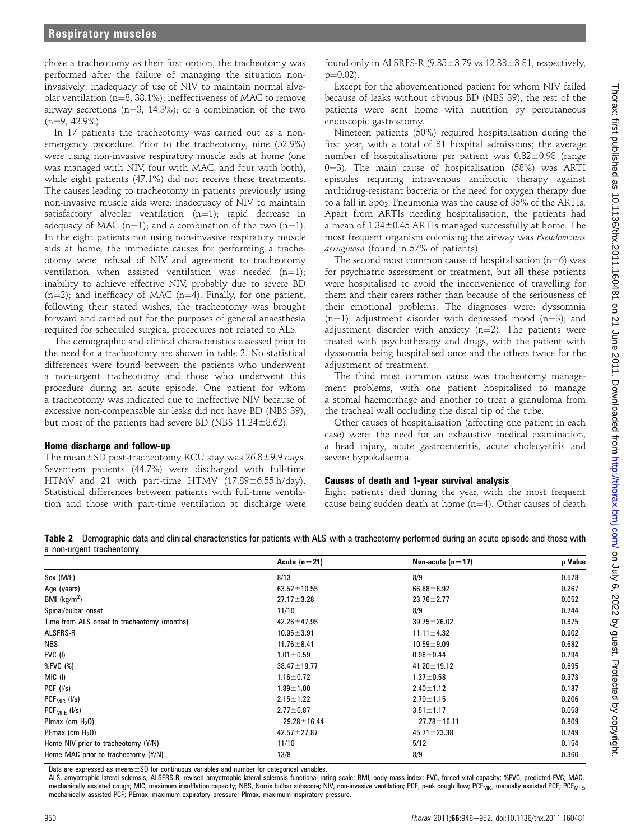chose a tracheotomy as their first option, the tracheotomy was performed after the failure of managing the situation noninvasively: inadequacy of use of NIV to maintain normal alveolar ventilation ( $n=8$ , 38.1%); ineffectiveness of MAC to remove airway secretions ( $n=3$ , 14.3%); or a combination of the two  $(n=9, 42.9\%)$ .

In 17 patients the tracheotomy was carried out as a nonemergency procedure. Prior to the tracheotomy, nine (52.9%) were using non-invasive respiratory muscle aids at home (one was managed with NIV, four with MAC, and four with both), while eight patients (47.1%) did not receive these treatments. The causes leading to tracheotomy in patients previously using non-invasive muscle aids were: inadequacy of NIV to maintain satisfactory alveolar ventilation  $(n=1)$ ; rapid decrease in adequacy of MAC (n=1); and a combination of the two (n=1). In the eight patients not using non-invasive respiratory muscle aids at home, the immediate causes for performing a tracheotomy were: refusal of NIV and agreement to tracheotomy ventilation when assisted ventilation was needed  $(n=1)$ ; inability to achieve effective NIV, probably due to severe BD  $(n=2)$ ; and inefficacy of MAC (n=4). Finally, for one patient, following their stated wishes, the tracheotomy was brought forward and carried out for the purposes of general anaesthesia required for scheduled surgical procedures not related to ALS.

The demographic and clinical characteristics assessed prior to the need for a tracheotomy are shown in table 2. No statistical differences were found between the patients who underwent a non-urgent tracheotomy and those who underwent this procedure during an acute episode. One patient for whom a tracheotomy was indicated due to ineffective NIV because of excessive non-compensable air leaks did not have BD (NBS 39), but most of the patients had severe BD (NBS  $11.24 \pm 8.62$ ).

#### Home discharge and follow-up

The mean $\pm$ SD post-tracheotomy RCU stay was 26.8 $\pm$ 9.9 days. Seventeen patients (44.7%) were discharged with full-time HTMV and 21 with part-time HTMV  $(17.89 \pm 6.55 \text{ h/day})$ . Statistical differences between patients with full-time ventilation and those with part-time ventilation at discharge were

found only in ALSRFS-R  $(9.35\pm3.79 \text{ vs } 12.38\pm3.81, \text{ respectively},$  $p=0.02$ ).

Except for the abovementioned patient for whom NIV failed because of leaks without obvious BD (NBS 39), the rest of the patients were sent home with nutrition by percutaneous endoscopic gastrostomy.

Nineteen patients (50%) required hospitalisation during the first year, with a total of 31 hospital admissions; the average number of hospitalisations per patient was  $0.82\pm0.98$  (range 0-3). The main cause of hospitalisation  $(58%)$  was ARTI episodes requiring intravenous antibiotic therapy against multidrug-resistant bacteria or the need for oxygen therapy due to a fall in SpO2. Pneumonia was the cause of 35% of the ARTIs. Apart from ARTIs needing hospitalisation, the patients had a mean of  $1.34\pm0.45$  ARTIs managed successfully at home. The most frequent organism colonising the airway was Pseudomonas aeruginosa (found in 57% of patients).

The second most common cause of hospitalisation ( $n=6$ ) was for psychiatric assessment or treatment, but all these patients were hospitalised to avoid the inconvenience of travelling for them and their carers rather than because of the seriousness of their emotional problems. The diagnoses were: dyssomnia  $(n=1)$ ; adjustment disorder with depressed mood  $(n=3)$ ; and adjustment disorder with anxiety  $(n=2)$ . The patients were treated with psychotherapy and drugs, with the patient with dyssomnia being hospitalised once and the others twice for the adjustment of treatment.

The third most common cause was tracheotomy management problems, with one patient hospitalised to manage a stomal haemorrhage and another to treat a granuloma from the tracheal wall occluding the distal tip of the tube.

Other causes of hospitalisation (affecting one patient in each case) were: the need for an exhaustive medical examination, a head injury, acute gastroenteritis, acute cholecystitis and severe hypokalaemia.

## Causes of death and 1-year survival analysis

Eight patients died during the year, with the most frequent cause being sudden death at home  $(n=4)$ . Other causes of death

Table 2 Demographic data and clinical characteristics for patients with ALS with a tracheotomy performed during an acute episode and those with a non-urgent tracheotomy

|                                             | Acute $(n=21)$     | Non-acute $(n=17)$ | p Value |
|---------------------------------------------|--------------------|--------------------|---------|
| Sex (M/F)                                   | 8/13               | 8/9                | 0.578   |
| Age (years)                                 | $63.52 \pm 10.55$  | $66.88 \pm 6.92$   | 0.267   |
| BMI ( $kg/m2$ )                             | $27.17 \pm 3.28$   | $23.76 \pm 2.77$   | 0.052   |
| Spinal/bulbar onset                         | 11/10              | 8/9                | 0.744   |
| Time from ALS onset to tracheotomy (months) | $42.26 \pm 47.95$  | $39.75 \pm 26.02$  | 0.875   |
| ALSFRS-R                                    | $10.95 \pm 3.91$   | $11.11 \pm 4.32$   | 0.902   |
| <b>NBS</b>                                  | $11.76 \pm 8.41$   | $10.59 \pm 9.09$   | 0.682   |
| FVC (I)                                     | $1.01 \pm 0.59$    | $0.96 \pm 0.44$    | 0.794   |
| %FVC (%)                                    | $38.47 \pm 19.77$  | $41.20 \pm 19.12$  | 0.695   |
| MIC (I)                                     | $1.16 \pm 0.72$    | $1.37 \pm 0.58$    | 0.373   |
| PCF (I/s)                                   | $1.89 \pm 1.00$    | $2.40 \pm 1.12$    | 0.187   |
| $PCF_{MIC}$ ( $I/s$ )                       | $2.15 \pm 1.22$    | $2.70 \pm 1.15$    | 0.206   |
| $PCF_{Ml-F}$ ( $l/s$ )                      | $2.77 \pm 0.87$    | $3.51 \pm 1.17$    | 0.058   |
| Plmax (cm $H20$ )                           | $-29.28 \pm 16.44$ | $-27.78 \pm 16.11$ | 0.809   |
| PEmax (cm $H20$ )                           | $42.57 \pm 27.87$  | $45.71 \pm 23.38$  | 0.749   |
| Home NIV prior to tracheotomy (Y/N)         | 11/10              | 5/12               | 0.154   |
| Home MAC prior to tracheotomy (Y/N)         | 13/8               | 8/9                | 0.360   |
|                                             |                    |                    |         |

Data are expressed as means $\pm$ SD for continuous variables and number for categorical variables.

ALS, amyotrophic lateral sclerosis; ALSFRS-R, revised amyotrophic lateral sclerosis functional rating scale; BMI, body mass index; FVC, forced vital capacity; %FVC, predicted FVC; MAC, mechanically assisted cough; MIC, maximum insufflation capacity; NBS, Norris bulbar subscore; NIV, non-invasive ventilation; PCF, peak cough flow; PCF<sub>MIC</sub>, manually assisted PCF; PCF<sub>MI-E</sub>, mechanically assisted PCF; PEmax, maximum expiratory pressure; PImax, maximum inspiratory pressure.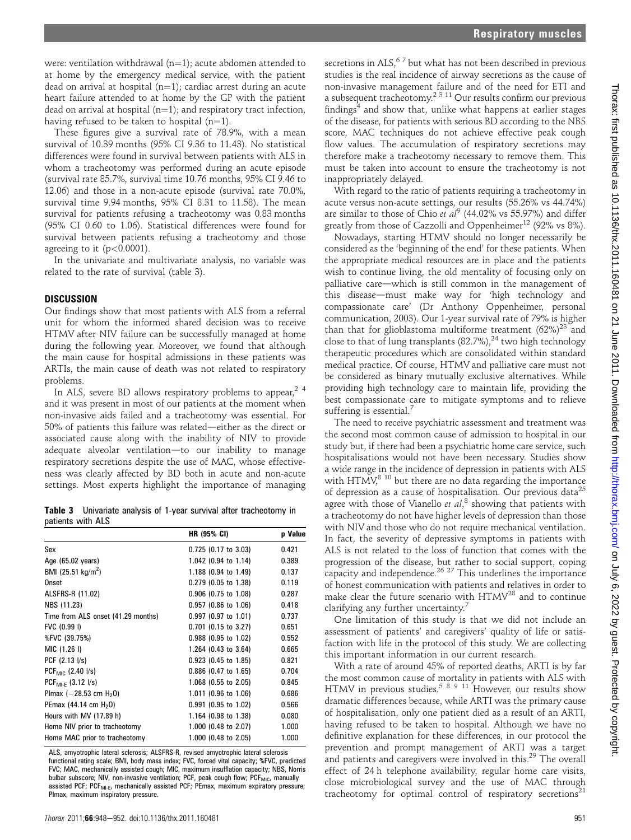were: ventilation withdrawal  $(n=1)$ ; acute abdomen attended to at home by the emergency medical service, with the patient dead on arrival at hospital  $(n=1)$ ; cardiac arrest during an acute heart failure attended to at home by the GP with the patient dead on arrival at hospital  $(n=1)$ ; and respiratory tract infection, having refused to be taken to hospital  $(n=1)$ .

These figures give a survival rate of 78.9%, with a mean survival of 10.39 months (95% CI 9.36 to 11.43). No statistical differences were found in survival between patients with ALS in whom a tracheotomy was performed during an acute episode (survival rate 85.7%, survival time 10.76 months, 95% CI 9.46 to 12.06) and those in a non-acute episode (survival rate 70.0%, survival time 9.94 months, 95% CI 8.31 to 11.58). The mean survival for patients refusing a tracheotomy was 0.83 months (95% CI 0.60 to 1.06). Statistical differences were found for survival between patients refusing a tracheotomy and those agreeing to it  $(p<0.0001)$ .

In the univariate and multivariate analysis, no variable was related to the rate of survival (table 3).

## **DISCUSSION**

Our findings show that most patients with ALS from a referral unit for whom the informed shared decision was to receive HTMV after NIV failure can be successfully managed at home during the following year. Moreover, we found that although the main cause for hospital admissions in these patients was ARTIs, the main cause of death was not related to respiratory problems.

In ALS, severe BD allows respiratory problems to appear.<sup>24</sup> and it was present in most of our patients at the moment when non-invasive aids failed and a tracheotomy was essential. For 50% of patients this failure was related-either as the direct or associated cause along with the inability of NIV to provide adequate alveolar ventilation—to our inability to manage respiratory secretions despite the use of MAC, whose effectiveness was clearly affected by BD both in acute and non-acute settings. Most experts highlight the importance of managing

|                   |  |  |  | <b>Table 3</b> Univariate analysis of 1-year survival after tracheotomy in |  |
|-------------------|--|--|--|----------------------------------------------------------------------------|--|
| patients with ALS |  |  |  |                                                                            |  |

| <b>HR (95% CI)</b>     | <b>p</b> Value |
|------------------------|----------------|
| $0.725$ (0.17 to 3.03) | 0.421          |
| 1.042 (0.94 to 1.14)   | 0.389          |
| 1.188 (0.94 to 1.49)   | 0.137          |
| $0.279$ (0.05 to 1.38) | 0.119          |
| 0.906 (0.75 to 1.08)   | 0.287          |
| $0.957$ (0.86 to 1.06) | 0.418          |
| $0.997$ (0.97 to 1.01) | 0.737          |
| $0.701$ (0.15 to 3.27) | 0.651          |
| 0.988 (0.95 to 1.02)   | 0.552          |
| 1.264 (0.43 to 3.64)   | 0.665          |
| $0.923$ (0.45 to 1.85) | 0.821          |
| 0.886 (0.47 to 1.65)   | 0.704          |
| 1.068 (0.55 to 2.05)   | 0.845          |
| 1.011 (0.96 to 1.06)   | 0.686          |
| $0.991$ (0.95 to 1.02) | 0.566          |
| 1.164 (0.98 to 1.38)   | 0.080          |
| 1.000 (0.48 to 2.07)   | 1.000          |
| 1.000 (0.48 to 2.05)   | 1.000          |
|                        |                |

ALS, amyotrophic lateral sclerosis; ALSFRS-R, revised amyotrophic lateral sclerosis functional rating scale; BMI, body mass index; FVC, forced vital capacity; %FVC, predicted FVC; MAC, mechanically assisted cough; MIC, maximum insufflation capacity; NBS, Norris bulbar subscore; NIV, non-invasive ventilation; PCF, peak cough flow; PCF<sub>MIC</sub>, manually assisted PCF; PCF<sub>MI-E</sub>, mechanically assisted PCF; PEmax, maximum expiratory pressure; PImax, maximum inspiratory pressure.

secretions in ALS, $67$  but what has not been described in previous studies is the real incidence of airway secretions as the cause of non-invasive management failure and of the need for ETI and a subsequent tracheotomy.<sup>2 3 11</sup> Our results confirm our previous findings $4$  and show that, unlike what happens at earlier stages of the disease, for patients with serious BD according to the NBS score, MAC techniques do not achieve effective peak cough flow values. The accumulation of respiratory secretions may therefore make a tracheotomy necessary to remove them. This must be taken into account to ensure the tracheotomy is not inappropriately delayed.

With regard to the ratio of patients requiring a tracheotomy in acute versus non-acute settings, our results (55.26% vs 44.74%) are similar to those of Chio et  $al^9$  (44.02% vs 55.97%) and differ greatly from those of Cazzolli and Oppenheimer<sup>12</sup> (92% vs 8%).

Nowadays, starting HTMV should no longer necessarily be considered as the 'beginning of the end' for these patients. When the appropriate medical resources are in place and the patients wish to continue living, the old mentality of focusing only on palliative care-which is still common in the management of this disease-must make way for 'high technology and compassionate care' (Dr Anthony Oppenheimer, personal communication, 2003). Our 1-year survival rate of 79% is higher than that for glioblastoma multiforme treatment  $(62\%)^{23}$  and close to that of lung transplants  $(82.7\%)$ ,<sup>24</sup> two high technology therapeutic procedures which are consolidated within standard medical practice. Of course, HTMV and palliative care must not be considered as binary mutually exclusive alternatives. While providing high technology care to maintain life, providing the best compassionate care to mitigate symptoms and to relieve suffering is essential. $7$ 

The need to receive psychiatric assessment and treatment was the second most common cause of admission to hospital in our study but, if there had been a psychiatric home care service, such hospitalisations would not have been necessary. Studies show a wide range in the incidence of depression in patients with ALS with HTMV, $8^{8}$  10 but there are no data regarding the importance of depression as a cause of hospitalisation. Our previous data<sup>25</sup> agree with those of Vianello et  $al$ ,<sup>8</sup> showing that patients with a tracheotomy do not have higher levels of depression than those with NIV and those who do not require mechanical ventilation. In fact, the severity of depressive symptoms in patients with ALS is not related to the loss of function that comes with the progression of the disease, but rather to social support, coping capacity and independence.<sup>26, 27</sup> This underlines the importance of honest communication with patients and relatives in order to make clear the future scenario with HTMV<sup>28</sup> and to continue clarifying any further uncertainty.<sup>7</sup>

One limitation of this study is that we did not include an assessment of patients' and caregivers' quality of life or satisfaction with life in the protocol of this study. We are collecting this important information in our current research.

With a rate of around 45% of reported deaths, ARTI is by far the most common cause of mortality in patients with ALS with HTMV in previous studies.<sup>58911</sup> However, our results show dramatic differences because, while ARTI was the primary cause of hospitalisation, only one patient died as a result of an ARTI, having refused to be taken to hospital. Although we have no definitive explanation for these differences, in our protocol the prevention and prompt management of ARTI was a target and patients and caregivers were involved in this.<sup>29</sup> The overall effect of 24 h telephone availability, regular home care visits, close microbiological survey and the use of MAC through tracheotomy for optimal control of respiratory secretions<sup>21</sup>